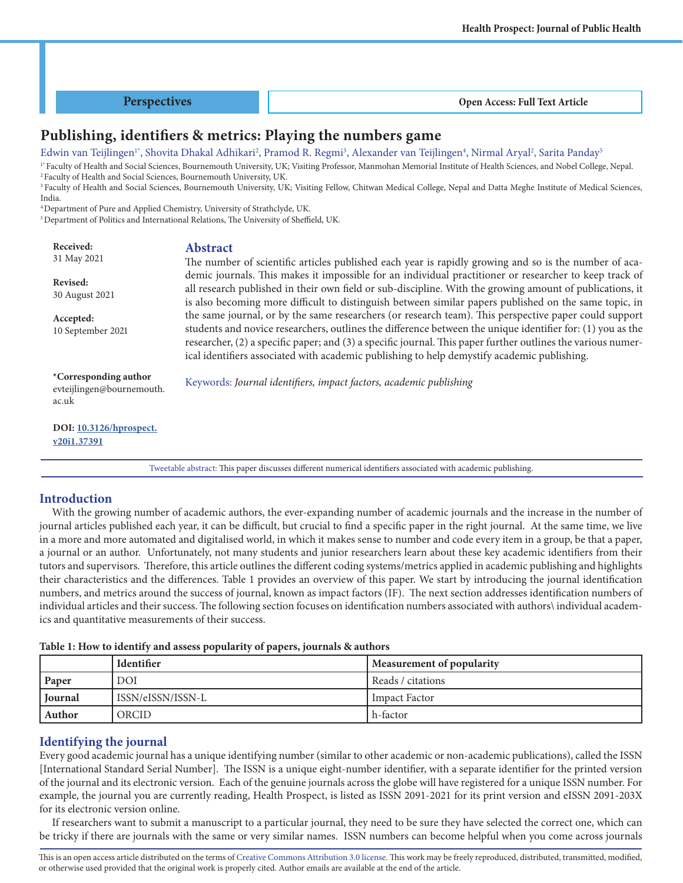|  |  | <b>Perspectives</b> |
|--|--|---------------------|
|--|--|---------------------|

 **Open Access: Full Text Article**

# **Publishing, identifiers & metrics: Playing the numbers game**

Edwin van Teijlingen<sup>1</sup>', Shovita Dhakal Adhikari<sup>2</sup>, Pramod R. Regmi<sup>3</sup>, Alexander van Teijlingen<sup>4</sup>, Nirmal Aryal<sup>2</sup>, Sarita Panday<sup>5</sup>

1\* Faculty of Health and Social Sciences, Bournemouth University, UK; Visiting Professor, Manmohan Memorial Institute of Health Sciences, and Nobel College, Nepal. 2 Faculty of Health and Social Sciences, Bournemouth University, UK.

<sup>3</sup> Faculty of Health and Social Sciences, Bournemouth University, UK; Visiting Fellow, Chitwan Medical College, Nepal and Datta Meghe Institute of Medical Sciences, India.

4 Department of Pure and Applied Chemistry, University of Strathclyde, UK.

5 Department of Politics and International Relations, The University of Sheffield, UK.

| Received:<br>31 May 2021<br>Revised:<br>30 August 2021<br>Accepted:<br>10 September 2021 | <b>Abstract</b><br>The number of scientific articles published each year is rapidly growing and so is the number of aca-<br>demic journals. This makes it impossible for an individual practitioner or researcher to keep track of<br>all research published in their own field or sub-discipline. With the growing amount of publications, it<br>is also becoming more difficult to distinguish between similar papers published on the same topic, in<br>the same journal, or by the same researchers (or research team). This perspective paper could support<br>students and novice researchers, outlines the difference between the unique identifier for: (1) you as the<br>researcher, (2) a specific paper; and (3) a specific journal. This paper further outlines the various numer-<br>ical identifiers associated with academic publishing to help demystify academic publishing. |
|------------------------------------------------------------------------------------------|-----------------------------------------------------------------------------------------------------------------------------------------------------------------------------------------------------------------------------------------------------------------------------------------------------------------------------------------------------------------------------------------------------------------------------------------------------------------------------------------------------------------------------------------------------------------------------------------------------------------------------------------------------------------------------------------------------------------------------------------------------------------------------------------------------------------------------------------------------------------------------------------------|
| *Corresponding author<br>evteijlingen@bournemouth.<br>ac.uk                              | Keywords: Journal identifiers, impact factors, academic publishing                                                                                                                                                                                                                                                                                                                                                                                                                                                                                                                                                                                                                                                                                                                                                                                                                            |
| DOI: 10.3126/hprospect.<br>v20i1.37391                                                   |                                                                                                                                                                                                                                                                                                                                                                                                                                                                                                                                                                                                                                                                                                                                                                                                                                                                                               |

Tweetable abstract: This paper discusses different numerical identifiers associated with academic publishing.

#### **Introduction**

With the growing number of academic authors, the ever-expanding number of academic journals and the increase in the number of journal articles published each year, it can be difficult, but crucial to find a specific paper in the right journal. At the same time, we live in a more and more automated and digitalised world, in which it makes sense to number and code every item in a group, be that a paper, a journal or an author. Unfortunately, not many students and junior researchers learn about these key academic identifiers from their tutors and supervisors. Therefore, this article outlines the different coding systems/metrics applied in academic publishing and highlights their characteristics and the differences. Table 1 provides an overview of this paper. We start by introducing the journal identification numbers, and metrics around the success of journal, known as impact factors (IF). The next section addresses identification numbers of individual articles and their success. The following section focuses on identification numbers associated with authors\ individual academics and quantitative measurements of their success.

|         | Identifier        | Measurement of popularity |  |
|---------|-------------------|---------------------------|--|
| Paper   | <b>DOI</b>        | Reads / citations         |  |
| Journal | ISSN/eISSN/ISSN-L | <b>Impact Factor</b>      |  |
| Author  | ORCID             | h-factor                  |  |

#### **Identifying the journal**

Every good academic journal has a unique identifying number (similar to other academic or non-academic publications), called the ISSN [International Standard Serial Number]. The ISSN is a unique eight-number identifier, with a separate identifier for the printed version of the journal and its electronic version. Each of the genuine journals across the globe will have registered for a unique ISSN number. For example, the journal you are currently reading, Health Prospect, is listed as ISSN 2091-2021 for its print version and eISSN 2091-203X for its electronic version online.

If researchers want to submit a manuscript to a particular journal, they need to be sure they have selected the correct one, which can be tricky if there are journals with the same or very similar names. ISSN numbers can become helpful when you come across journals

This is an open access article distributed on the terms of Creative Commons Attribution 3.0 license. This work may be freely reproduced, distributed, transmitted, modified, or otherwise used provided that the original work is properly cited. Author emails are available at the end of the article.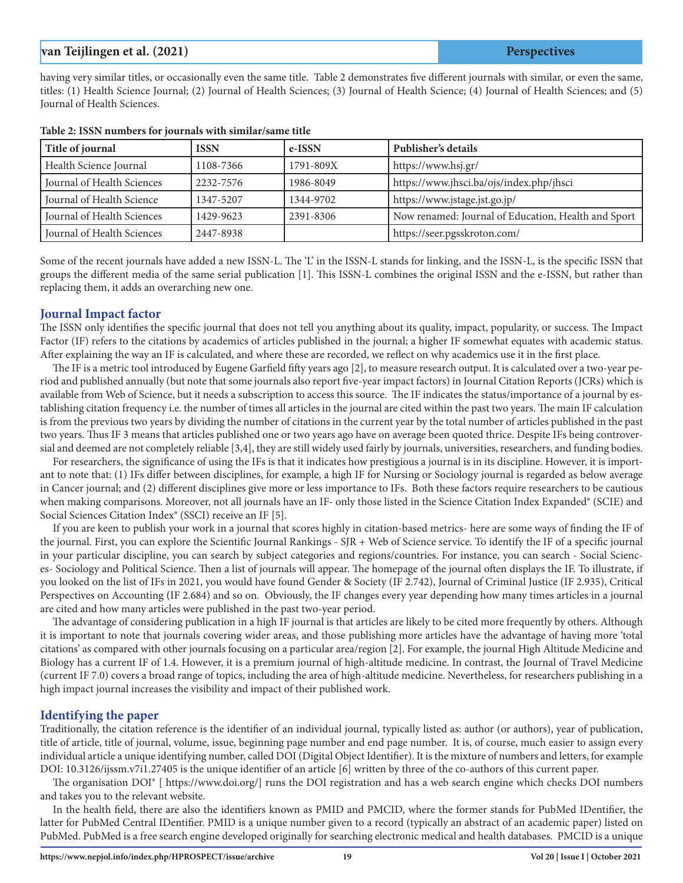## **van Teijlingen et al. (2021) Perspectives**

having very similar titles, or occasionally even the same title. Table 2 demonstrates five different journals with similar, or even the same, titles: (1) Health Science Journal; (2) Journal of Health Sciences; (3) Journal of Health Science; (4) Journal of Health Sciences; and (5) Journal of Health Sciences.

| Title of journal           | <b>ISSN</b> | e-ISSN    | Publisher's details                                 |  |
|----------------------------|-------------|-----------|-----------------------------------------------------|--|
| Health Science Journal     | 1108-7366   | 1791-809X | https://www.hsj.gr/                                 |  |
| Journal of Health Sciences | 2232-7576   | 1986-8049 | https://www.jhsci.ba/ojs/index.php/jhsci            |  |
| Journal of Health Science  | 1347-5207   | 1344-9702 | https://www.jstage.jst.go.jp/                       |  |
| Journal of Health Sciences | 1429-9623   | 2391-8306 | Now renamed: Journal of Education, Health and Sport |  |
| Journal of Health Sciences | 2447-8938   |           | https://seer.pgsskroton.com/                        |  |

#### **Table 2: ISSN numbers for journals with similar/same title**

Some of the recent journals have added a new ISSN-L. The 'L' in the ISSN-L stands for linking, and the ISSN-L, is the specific ISSN that groups the different media of the same serial publication [1]. This ISSN-L combines the original ISSN and the e-ISSN, but rather than replacing them, it adds an overarching new one.

## **Journal Impact factor**

The ISSN only identifies the specific journal that does not tell you anything about its quality, impact, popularity, or success. The Impact Factor (IF) refers to the citations by academics of articles published in the journal; a higher IF somewhat equates with academic status. After explaining the way an IF is calculated, and where these are recorded, we reflect on why academics use it in the first place.

The IF is a metric tool introduced by Eugene Garfield fifty years ago [2], to measure research output. It is calculated over a two-year period and published annually (but note that some journals also report five-year impact factors) in Journal Citation Reports (JCRs) which is available from Web of Science, but it needs a subscription to access this source. The IF indicates the status/importance of a journal by establishing citation frequency i.e. the number of times all articles in the journal are cited within the past two years. The main IF calculation is from the previous two years by dividing the number of citations in the current year by the total number of articles published in the past two years. Thus IF 3 means that articles published one or two years ago have on average been quoted thrice. Despite IFs being controversial and deemed are not completely reliable [3,4], they are still widely used fairly by journals, universities, researchers, and funding bodies.

For researchers, the significance of using the IFs is that it indicates how prestigious a journal is in its discipline. However, it is important to note that: (1) IFs differ between disciplines, for example, a high IF for Nursing or Sociology journal is regarded as below average in Cancer journal; and (2) different disciplines give more or less importance to IFs. Both these factors require researchers to be cautious when making comparisons. Moreover, not all journals have an IF- only those listed in the Science Citation Index Expanded® (SCIE) and Social Sciences Citation Index® (SSCI) receive an IF [5].

If you are keen to publish your work in a journal that scores highly in citation-based metrics- here are some ways of finding the IF of the journal. First, you can explore the Scientific Journal Rankings - SJR + Web of Science service. To identify the IF of a specific journal in your particular discipline, you can search by subject categories and regions/countries. For instance, you can search - Social Sciences- Sociology and Political Science. Then a list of journals will appear. The homepage of the journal often displays the IF. To illustrate, if you looked on the list of IFs in 2021, you would have found Gender & Society (IF 2.742), Journal of Criminal Justice (IF 2.935), Critical Perspectives on Accounting (IF 2.684) and so on. Obviously, the IF changes every year depending how many times articles in a journal are cited and how many articles were published in the past two-year period.

The advantage of considering publication in a high IF journal is that articles are likely to be cited more frequently by others. Although it is important to note that journals covering wider areas, and those publishing more articles have the advantage of having more 'total citations' as compared with other journals focusing on a particular area/region [2]. For example, the journal High Altitude Medicine and Biology has a current IF of 1.4. However, it is a premium journal of high-altitude medicine. In contrast, the Journal of Travel Medicine (current IF 7.0) covers a broad range of topics, including the area of high-altitude medicine. Nevertheless, for researchers publishing in a high impact journal increases the visibility and impact of their published work.

## **Identifying the paper**

Traditionally, the citation reference is the identifier of an individual journal, typically listed as: author (or authors), year of publication, title of article, title of journal, volume, issue, beginning page number and end page number. It is, of course, much easier to assign every individual article a unique identifying number, called DOI (Digital Object Identifier). It is the mixture of numbers and letters, for example DOI: 10.3126/ijssm.v7i1.27405 is the unique identifier of an article [6] written by three of the co-authors of this current paper.

The organisation DOI® [ https://www.doi.org/] runs the DOI registration and has a web search engine which checks DOI numbers and takes you to the relevant website.

In the health field, there are also the identifiers known as PMID and PMCID, where the former stands for PubMed IDentifier, the latter for PubMed Central IDentifier. PMID is a unique number given to a record (typically an abstract of an academic paper) listed on PubMed. PubMed is a free search engine developed originally for searching electronic medical and health databases. PMCID is a unique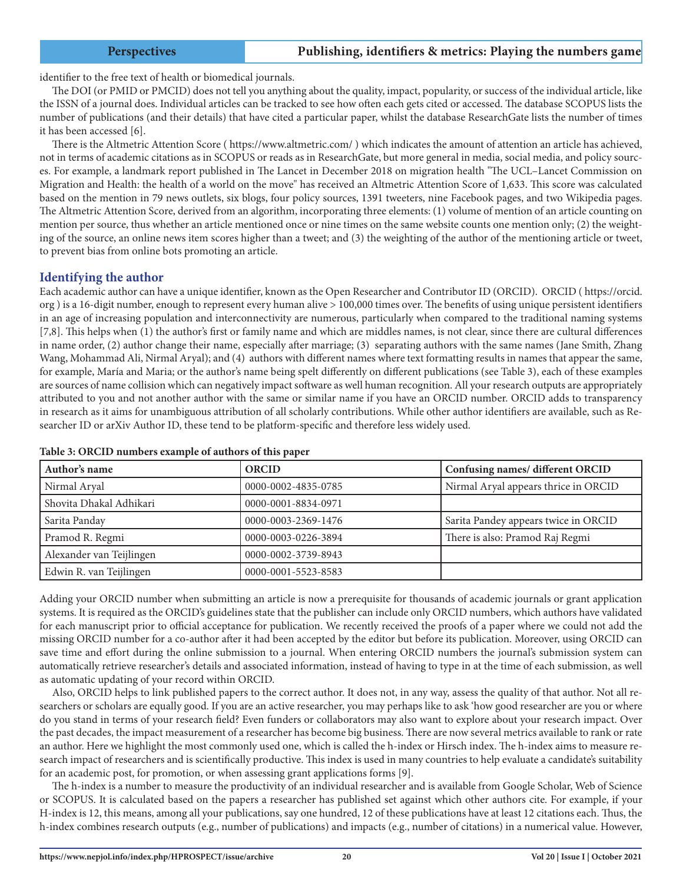identifier to the free text of health or biomedical journals.

The DOI (or PMID or PMCID) does not tell you anything about the quality, impact, popularity, or success of the individual article, like the ISSN of a journal does. Individual articles can be tracked to see how often each gets cited or accessed. The database SCOPUS lists the number of publications (and their details) that have cited a particular paper, whilst the database ResearchGate lists the number of times it has been accessed [6].

There is the Altmetric Attention Score ( https://www.altmetric.com/ ) which indicates the amount of attention an article has achieved, not in terms of academic citations as in SCOPUS or reads as in ResearchGate, but more general in media, social media, and policy sources. For example, a landmark report published in The Lancet in December 2018 on migration health "The UCL–Lancet Commission on Migration and Health: the health of a world on the move" has received an Altmetric Attention Score of 1,633. This score was calculated based on the mention in 79 news outlets, six blogs, four policy sources, 1391 tweeters, nine Facebook pages, and two Wikipedia pages. The Altmetric Attention Score, derived from an algorithm, incorporating three elements: (1) volume of mention of an article counting on mention per source, thus whether an article mentioned once or nine times on the same website counts one mention only; (2) the weighting of the source, an online news item scores higher than a tweet; and (3) the weighting of the author of the mentioning article or tweet, to prevent bias from online bots promoting an article.

## **Identifying the author**

Each academic author can have a unique identifier, known as the Open Researcher and Contributor ID (ORCID). ORCID ( https://orcid. org ) is a 16-digit number, enough to represent every human alive > 100,000 times over. The benefits of using unique persistent identifiers in an age of increasing population and interconnectivity are numerous, particularly when compared to the traditional naming systems [7,8]. This helps when (1) the author's first or family name and which are middles names, is not clear, since there are cultural differences in name order, (2) author change their name, especially after marriage; (3) separating authors with the same names (Jane Smith, Zhang Wang, Mohammad Ali, Nirmal Aryal); and (4) authors with different names where text formatting results in names that appear the same, for example, María and Maria; or the author's name being spelt differently on different publications (see Table 3), each of these examples are sources of name collision which can negatively impact software as well human recognition. All your research outputs are appropriately attributed to you and not another author with the same or similar name if you have an ORCID number. ORCID adds to transparency in research as it aims for unambiguous attribution of all scholarly contributions. While other author identifiers are available, such as Researcher ID or arXiv Author ID, these tend to be platform-specific and therefore less widely used.

| Author's name            | <b>ORCID</b>        | Confusing names/ different ORCID     |
|--------------------------|---------------------|--------------------------------------|
| Nirmal Aryal             | 0000-0002-4835-0785 | Nirmal Aryal appears thrice in ORCID |
| Shovita Dhakal Adhikari  | 0000-0001-8834-0971 |                                      |
| Sarita Panday            | 0000-0003-2369-1476 | Sarita Pandey appears twice in ORCID |
| Pramod R. Regmi          | 0000-0003-0226-3894 | There is also: Pramod Raj Regmi      |
| Alexander van Teijlingen | 0000-0002-3739-8943 |                                      |
| Edwin R. van Teijlingen  | 0000-0001-5523-8583 |                                      |

#### **Table 3: ORCID numbers example of authors of this paper**

Adding your ORCID number when submitting an article is now a prerequisite for thousands of academic journals or grant application systems. It is required as the ORCID's guidelines state that the publisher can include only ORCID numbers, which authors have validated for each manuscript prior to official acceptance for publication. We recently received the proofs of a paper where we could not add the missing ORCID number for a co-author after it had been accepted by the editor but before its publication. Moreover, using ORCID can save time and effort during the online submission to a journal. When entering ORCID numbers the journal's submission system can automatically retrieve researcher's details and associated information, instead of having to type in at the time of each submission, as well as automatic updating of your record within ORCID.

Also, ORCID helps to link published papers to the correct author. It does not, in any way, assess the quality of that author. Not all researchers or scholars are equally good. If you are an active researcher, you may perhaps like to ask 'how good researcher are you or where do you stand in terms of your research field? Even funders or collaborators may also want to explore about your research impact. Over the past decades, the impact measurement of a researcher has become big business. There are now several metrics available to rank or rate an author. Here we highlight the most commonly used one, which is called the h-index or Hirsch index. The h-index aims to measure research impact of researchers and is scientifically productive. This index is used in many countries to help evaluate a candidate's suitability for an academic post, for promotion, or when assessing grant applications forms [9].

The h-index is a number to measure the productivity of an individual researcher and is available from Google Scholar, Web of Science or SCOPUS. It is calculated based on the papers a researcher has published set against which other authors cite. For example, if your H-index is 12, this means, among all your publications, say one hundred, 12 of these publications have at least 12 citations each. Thus, the h-index combines research outputs (e.g., number of publications) and impacts (e.g., number of citations) in a numerical value. However,